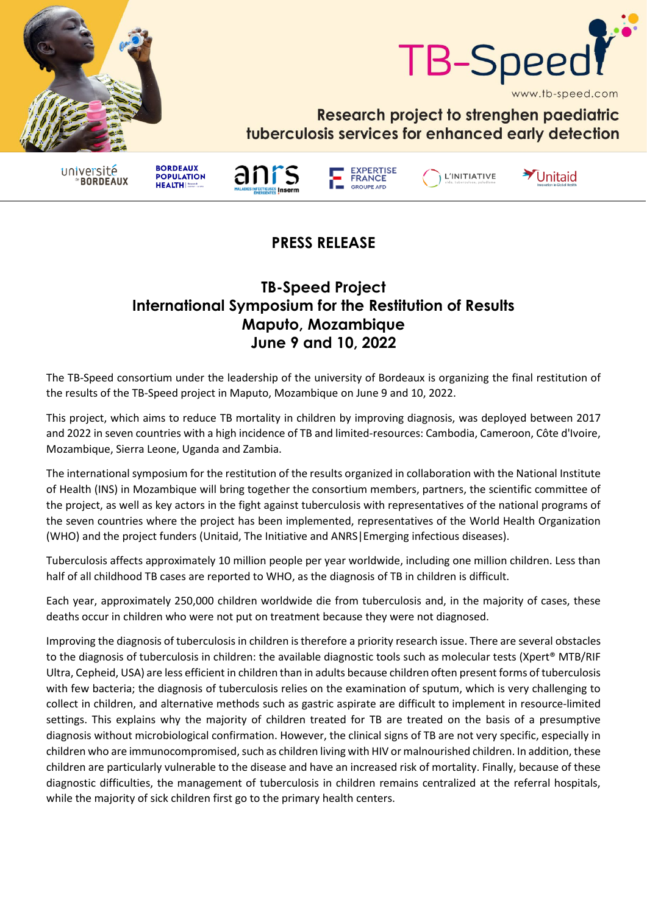



Research project to strenghen paediatric tuberculosis services for enhanced early detection

université **BORDEAUX**  **BORDEAUX** 

**HEALTHIS** 

**POPULATION** 





L'INITIATIVE

Unitaid

## **PRESS RELEASE**

## **TB-Speed Project International Symposium for the Restitution of Results Maputo, Mozambique June 9 and 10, 2022**

The TB-Speed consortium under the leadership of the university of Bordeaux is organizing the final restitution of the results of the TB-Speed project in Maputo, Mozambique on June 9 and 10, 2022.

This project, which aims to reduce TB mortality in children by improving diagnosis, was deployed between 2017 and 2022 in seven countries with a high incidence of TB and limited-resources: Cambodia, Cameroon, Côte d'Ivoire, Mozambique, Sierra Leone, Uganda and Zambia.

The international symposium for the restitution of the results organized in collaboration with the National Institute of Health (INS) in Mozambique will bring together the consortium members, partners, the scientific committee of the project, as well as key actors in the fight against tuberculosis with representatives of the national programs of the seven countries where the project has been implemented, representatives of the World Health Organization (WHO) and the project funders (Unitaid, The Initiative and ANRS|Emerging infectious diseases).

Tuberculosis affects approximately 10 million people per year worldwide, including one million children. Less than half of all childhood TB cases are reported to WHO, as the diagnosis of TB in children is difficult.

Each year, approximately 250,000 children worldwide die from tuberculosis and, in the majority of cases, these deaths occur in children who were not put on treatment because they were not diagnosed.

Improving the diagnosis of tuberculosis in children is therefore a priority research issue. There are several obstacles to the diagnosis of tuberculosis in children: the available diagnostic tools such as molecular tests (Xpert® MTB/RIF Ultra, Cepheid, USA) are less efficient in children than in adults because children often present forms of tuberculosis with few bacteria; the diagnosis of tuberculosis relies on the examination of sputum, which is very challenging to collect in children, and alternative methods such as gastric aspirate are difficult to implement in resource-limited settings. This explains why the majority of children treated for TB are treated on the basis of a presumptive diagnosis without microbiological confirmation. However, the clinical signs of TB are not very specific, especially in children who are immunocompromised, such as children living with HIV or malnourished children. In addition, these children are particularly vulnerable to the disease and have an increased risk of mortality. Finally, because of these diagnostic difficulties, the management of tuberculosis in children remains centralized at the referral hospitals, while the majority of sick children first go to the primary health centers.